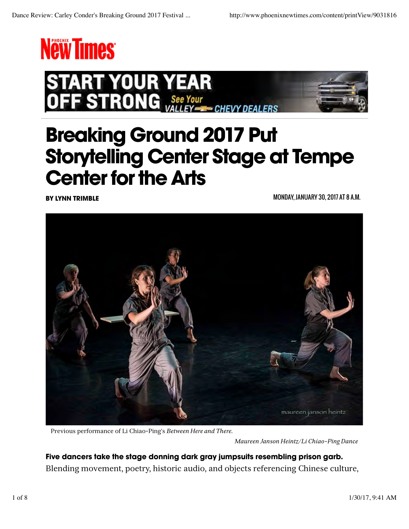



## Breaking Ground 2017 Put Storytelling Center Stage at Tempe Center for the Arts

BY LYNN TRIMBLE MONDAY, JANUARY 30, 2017 AT 8 A.M.



Previous performance of Li Chiao-Ping's *Between Here and There*.

*Maureen Janson Heintz/Li Chiao-Ping Dance*

Five dancers take the stage donning dark gray jumpsuits resembling prison garb. Blending movement, poetry, historic audio, and objects referencing Chinese culture,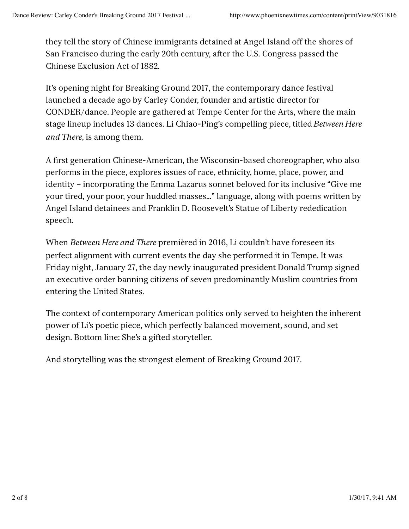they tell the story of Chinese immigrants detained at Angel Island off the shores of San Francisco during the early 20th century, after the U.S. Congress passed the Chinese Exclusion Act of 1882.

It's opening night for Breaking Ground 2017, the contemporary dance festival launched a decade ago by Carley Conder, founder and artistic director for CONDER/dance. People are gathered at Tempe Center for the Arts, where the main stage lineup includes 13 dances. Li Chiao-Ping's compelling piece, titled *Between Here and There*, is among them.

A first generation Chinese-American, the Wisconsin-based choreographer, who also performs in the piece, explores issues of race, ethnicity, home, place, power, and identity – incorporating the Emma Lazarus sonnet beloved for its inclusive "Give me your tired, your poor, your huddled masses…" language, along with poems written by Angel Island detainees and Franklin D. Roosevelt's Statue of Liberty rededication speech.

When *Between Here and There* premièred in 2016, Li couldn't have foreseen its perfect alignment with current events the day she performed it in Tempe. It was Friday night, January 27, the day newly inaugurated president Donald Trump signed an executive order banning citizens of seven predominantly Muslim countries from entering the United States.

The context of contemporary American politics only served to heighten the inherent power of Li's poetic piece, which perfectly balanced movement, sound, and set design. Bottom line: She's a gifted storyteller.

And storytelling was the strongest element of Breaking Ground 2017.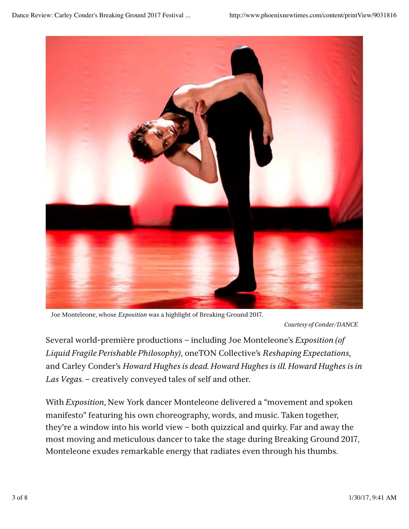

Joe Monteleone, whose *Exposition* was a highlight of Breaking Ground 2017.

*Courtesy of Conder/DANCE*

Several world-première productions – including Joe Monteleone's *Exposition (of Liquid Fragile Perishable Philosophy)*, oneTON Collective's *Reshaping Expectations*, and Carley Conder's *Howard Hughes is dead. Howard Hughes is ill. Howard Hughes is in Las Vegas.* – creatively conveyed tales of self and other.

With *Exposition*, New York dancer Monteleone delivered a "movement and spoken manifesto" featuring his own choreography, words, and music. Taken together, they're a window into his world view – both quizzical and quirky. Far and away the most moving and meticulous dancer to take the stage during Breaking Ground 2017, Monteleone exudes remarkable energy that radiates even through his thumbs.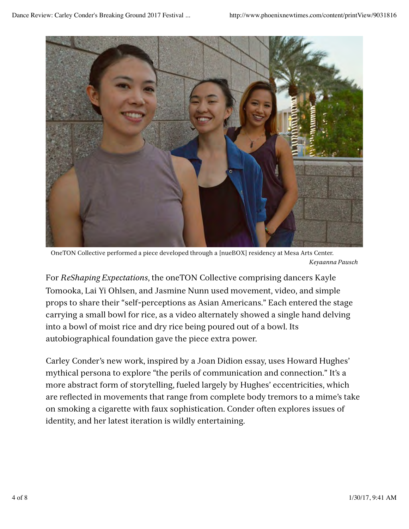

OneTON Collective performed a piece developed through a [nueBOX] residency at Mesa Arts Center. *Keyaanna Pausch*

For *ReShaping Expectations*, the oneTON Collective comprising dancers Kayle Tomooka, Lai Yi Ohlsen, and Jasmine Nunn used movement, video, and simple props to share their "self-perceptions as Asian Americans." Each entered the stage carrying a small bowl for rice, as a video alternately showed a single hand delving into a bowl of moist rice and dry rice being poured out of a bowl. Its autobiographical foundation gave the piece extra power.

Carley Conder's new work, inspired by a Joan Didion essay, uses Howard Hughes' mythical persona to explore "the perils of communication and connection." It's a more abstract form of storytelling, fueled largely by Hughes' eccentricities, which are reflected in movements that range from complete body tremors to a mime's take on smoking a cigarette with faux sophistication. Conder often explores issues of identity, and her latest iteration is wildly entertaining.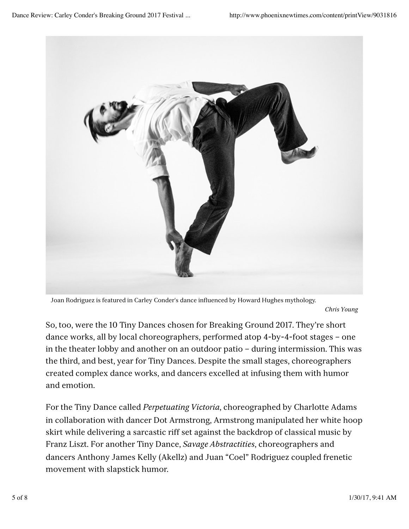

Joan Rodriguez is featured in Carley Conder's dance influenced by Howard Hughes mythology.

*Chris Young*

So, too, were the 10 Tiny Dances chosen for Breaking Ground 2017. They're short dance works, all by local choreographers, performed atop 4-by-4-foot stages – one in the theater lobby and another on an outdoor patio – during intermission. This was the third, and best, year for Tiny Dances. Despite the small stages, choreographers created complex dance works, and dancers excelled at infusing them with humor and emotion.

For the Tiny Dance called *Perpetuating Victoria*, choreographed by Charlotte Adams in collaboration with dancer Dot Armstrong, Armstrong manipulated her white hoop skirt while delivering a sarcastic riff set against the backdrop of classical music by Franz Liszt. For another Tiny Dance, *Savage Abstractities*, choreographers and dancers Anthony James Kelly (Akellz) and Juan "Coel" Rodriguez coupled frenetic movement with slapstick humor.